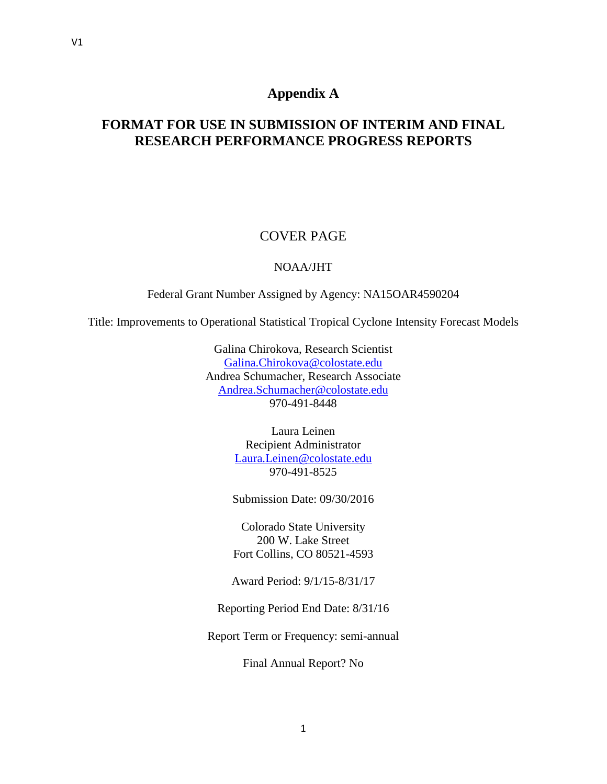# **Appendix A**

# **FORMAT FOR USE IN SUBMISSION OF INTERIM AND FINAL RESEARCH PERFORMANCE PROGRESS REPORTS**

# COVER PAGE

### NOAA/JHT

Federal Grant Number Assigned by Agency: NA15OAR4590204

Title: Improvements to Operational Statistical Tropical Cyclone Intensity Forecast Models

Galina Chirokova, Research Scientist [Galina.Chirokova@colostate.edu](mailto:Galina.Chirokova@colostate.edu) Andrea Schumacher, Research Associate [Andrea.Schumacher@colostate.edu](mailto:Andrea.Schumacher@colostate.edu) 970-491-8448

> Laura Leinen Recipient Administrator [Laura.Leinen@colostate.edu](mailto:Laura.Leinen@colostate.edu) 970-491-8525

Submission Date: 09/30/2016

Colorado State University 200 W. Lake Street Fort Collins, CO 80521-4593

Award Period: 9/1/15-8/31/17

Reporting Period End Date: 8/31/16

Report Term or Frequency: semi-annual

Final Annual Report? No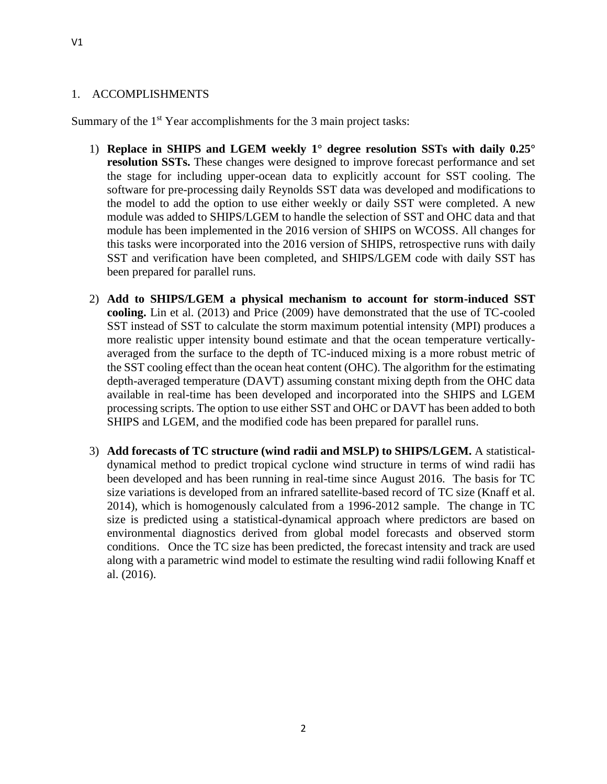#### 1. ACCOMPLISHMENTS

Summary of the 1<sup>st</sup> Year accomplishments for the 3 main project tasks:

- 1) **Replace in SHIPS and LGEM weekly 1° degree resolution SSTs with daily 0.25° resolution SSTs.** These changes were designed to improve forecast performance and set the stage for including upper-ocean data to explicitly account for SST cooling. The software for pre-processing daily Reynolds SST data was developed and modifications to the model to add the option to use either weekly or daily SST were completed. A new module was added to SHIPS/LGEM to handle the selection of SST and OHC data and that module has been implemented in the 2016 version of SHIPS on WCOSS. All changes for this tasks were incorporated into the 2016 version of SHIPS, retrospective runs with daily SST and verification have been completed, and SHIPS/LGEM code with daily SST has been prepared for parallel runs.
- 2) **Add to SHIPS/LGEM a physical mechanism to account for storm-induced SST cooling.** Lin et al. (2013) and Price (2009) have demonstrated that the use of TC-cooled SST instead of SST to calculate the storm maximum potential intensity (MPI) produces a more realistic upper intensity bound estimate and that the ocean temperature verticallyaveraged from the surface to the depth of TC-induced mixing is a more robust metric of the SST cooling effect than the ocean heat content (OHC). The algorithm for the estimating depth-averaged temperature (DAVT) assuming constant mixing depth from the OHC data available in real-time has been developed and incorporated into the SHIPS and LGEM processing scripts. The option to use either SST and OHC or DAVT has been added to both SHIPS and LGEM, and the modified code has been prepared for parallel runs.
- 3) **Add forecasts of TC structure (wind radii and MSLP) to SHIPS/LGEM.** A statisticaldynamical method to predict tropical cyclone wind structure in terms of wind radii has been developed and has been running in real-time since August 2016. The basis for TC size variations is developed from an infrared satellite-based record of TC size (Knaff et al. 2014), which is homogenously calculated from a 1996-2012 sample. The change in TC size is predicted using a statistical-dynamical approach where predictors are based on environmental diagnostics derived from global model forecasts and observed storm conditions. Once the TC size has been predicted, the forecast intensity and track are used along with a parametric wind model to estimate the resulting wind radii following Knaff et al. (2016).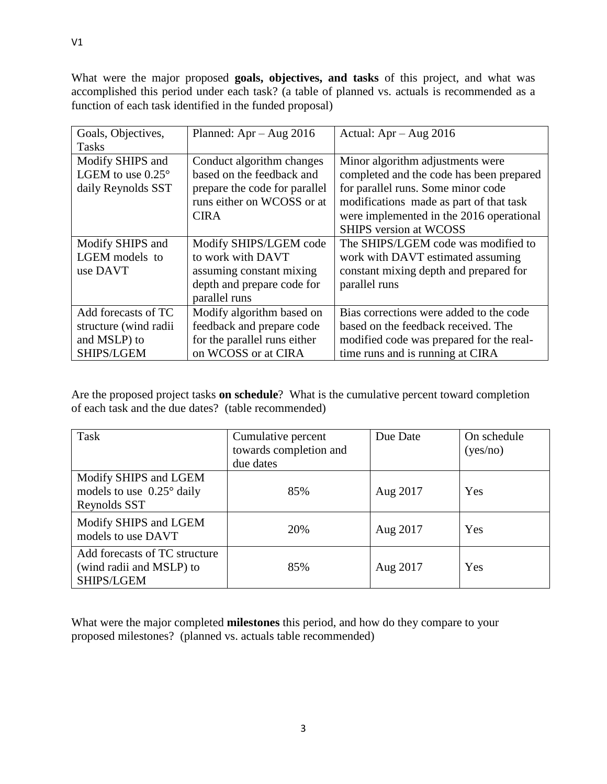What were the major proposed **goals, objectives, and tasks** of this project, and what was accomplished this period under each task? (a table of planned vs. actuals is recommended as a function of each task identified in the funded proposal)

| Goals, Objectives,         | Planned: $Apr - Aug\ 2016$    | Actual: $Apr - Aug\ 2016$                |
|----------------------------|-------------------------------|------------------------------------------|
| <b>Tasks</b>               |                               |                                          |
| Modify SHIPS and           | Conduct algorithm changes     | Minor algorithm adjustments were         |
| LGEM to use $0.25^{\circ}$ | based on the feedback and     | completed and the code has been prepared |
| daily Reynolds SST         | prepare the code for parallel | for parallel runs. Some minor code       |
|                            | runs either on WCOSS or at    | modifications made as part of that task  |
|                            | <b>CIRA</b>                   | were implemented in the 2016 operational |
|                            |                               | <b>SHIPS</b> version at WCOSS            |
| Modify SHIPS and           | Modify SHIPS/LGEM code        | The SHIPS/LGEM code was modified to      |
| LGEM models to             | to work with DAVT             | work with DAVT estimated assuming        |
| use DAVT                   | assuming constant mixing      | constant mixing depth and prepared for   |
|                            | depth and prepare code for    | parallel runs                            |
|                            | parallel runs                 |                                          |
| Add forecasts of TC        | Modify algorithm based on     | Bias corrections were added to the code  |
| structure (wind radii      | feedback and prepare code     | based on the feedback received. The      |
| and MSLP) to               | for the parallel runs either  | modified code was prepared for the real- |
| SHIPS/LGEM                 | on WCOSS or at CIRA           | time runs and is running at CIRA         |

Are the proposed project tasks **on schedule**? What is the cumulative percent toward completion of each task and the due dates? (table recommended)

| Task                                                                        | Cumulative percent<br>towards completion and<br>due dates | Due Date | On schedule<br>(yes/no) |
|-----------------------------------------------------------------------------|-----------------------------------------------------------|----------|-------------------------|
| Modify SHIPS and LGEM<br>models to use $0.25^{\circ}$ daily<br>Reynolds SST | 85%                                                       | Aug 2017 | Yes                     |
| Modify SHIPS and LGEM<br>models to use DAVT                                 | 20%                                                       | Aug 2017 | Yes                     |
| Add forecasts of TC structure<br>(wind radii and MSLP) to<br>SHIPS/LGEM     | 85%                                                       | Aug 2017 | Yes                     |

What were the major completed **milestones** this period, and how do they compare to your proposed milestones? (planned vs. actuals table recommended)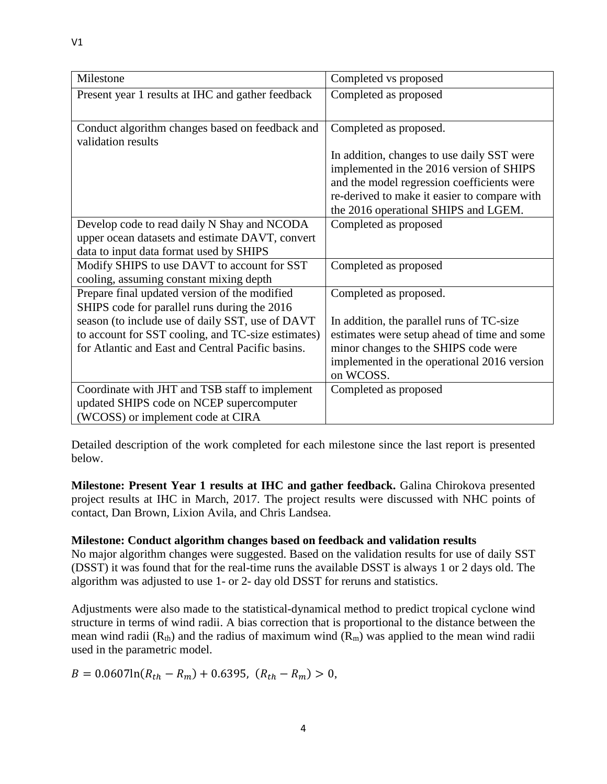| Milestone                                                             | Completed vs proposed                        |
|-----------------------------------------------------------------------|----------------------------------------------|
| Present year 1 results at IHC and gather feedback                     | Completed as proposed                        |
|                                                                       |                                              |
| Conduct algorithm changes based on feedback and<br>validation results | Completed as proposed.                       |
|                                                                       | In addition, changes to use daily SST were   |
|                                                                       | implemented in the 2016 version of SHIPS     |
|                                                                       | and the model regression coefficients were   |
|                                                                       | re-derived to make it easier to compare with |
|                                                                       | the 2016 operational SHIPS and LGEM.         |
| Develop code to read daily N Shay and NCODA                           | Completed as proposed                        |
| upper ocean datasets and estimate DAVT, convert                       |                                              |
| data to input data format used by SHIPS                               |                                              |
| Modify SHIPS to use DAVT to account for SST                           | Completed as proposed                        |
| cooling, assuming constant mixing depth                               |                                              |
| Prepare final updated version of the modified                         | Completed as proposed.                       |
| SHIPS code for parallel runs during the 2016                          |                                              |
| season (to include use of daily SST, use of DAVT                      | In addition, the parallel runs of TC-size    |
| to account for SST cooling, and TC-size estimates)                    | estimates were setup ahead of time and some  |
| for Atlantic and East and Central Pacific basins.                     | minor changes to the SHIPS code were         |
|                                                                       | implemented in the operational 2016 version  |
|                                                                       | on WCOSS.                                    |
| Coordinate with JHT and TSB staff to implement                        | Completed as proposed                        |
| updated SHIPS code on NCEP supercomputer                              |                                              |
| (WCOSS) or implement code at CIRA                                     |                                              |

Detailed description of the work completed for each milestone since the last report is presented below.

**Milestone: Present Year 1 results at IHC and gather feedback.** Galina Chirokova presented project results at IHC in March, 2017. The project results were discussed with NHC points of contact, Dan Brown, Lixion Avila, and Chris Landsea.

#### **Milestone: Conduct algorithm changes based on feedback and validation results**

No major algorithm changes were suggested. Based on the validation results for use of daily SST (DSST) it was found that for the real-time runs the available DSST is always 1 or 2 days old. The algorithm was adjusted to use 1- or 2- day old DSST for reruns and statistics.

Adjustments were also made to the statistical-dynamical method to predict tropical cyclone wind structure in terms of wind radii. A bias correction that is proportional to the distance between the mean wind radii  $(R<sub>th</sub>)$  and the radius of maximum wind  $(R<sub>m</sub>)$  was applied to the mean wind radii used in the parametric model.

 $B = 0.0607\ln(R_{th} - R_m) + 0.6395$ ,  $(R_{th} - R_m) > 0$ ,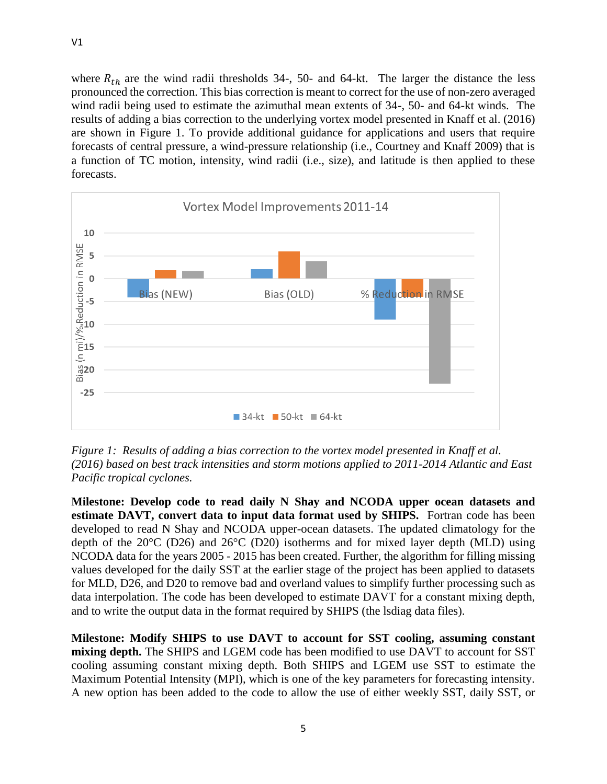where  $R_{th}$  are the wind radii thresholds 34-, 50- and 64-kt. The larger the distance the less pronounced the correction. This bias correction is meant to correct for the use of non-zero averaged wind radii being used to estimate the azimuthal mean extents of 34-, 50- and 64-kt winds. The results of adding a bias correction to the underlying vortex model presented in Knaff et al. (2016) are shown in Figure 1. To provide additional guidance for applications and users that require forecasts of central pressure, a wind-pressure relationship (i.e., Courtney and Knaff 2009) that is a function of TC motion, intensity, wind radii (i.e., size), and latitude is then applied to these forecasts.



*Figure 1: Results of adding a bias correction to the vortex model presented in Knaff et al. (2016) based on best track intensities and storm motions applied to 2011-2014 Atlantic and East Pacific tropical cyclones.* 

**Milestone: Develop code to read daily N Shay and NCODA upper ocean datasets and estimate DAVT, convert data to input data format used by SHIPS.** Fortran code has been developed to read N Shay and NCODA upper-ocean datasets. The updated climatology for the depth of the 20°C (D26) and 26°C (D20) isotherms and for mixed layer depth (MLD) using NCODA data for the years 2005 - 2015 has been created. Further, the algorithm for filling missing values developed for the daily SST at the earlier stage of the project has been applied to datasets for MLD, D26, and D20 to remove bad and overland values to simplify further processing such as data interpolation. The code has been developed to estimate DAVT for a constant mixing depth, and to write the output data in the format required by SHIPS (the lsdiag data files).

**Milestone: Modify SHIPS to use DAVT to account for SST cooling, assuming constant mixing depth.** The SHIPS and LGEM code has been modified to use DAVT to account for SST cooling assuming constant mixing depth. Both SHIPS and LGEM use SST to estimate the Maximum Potential Intensity (MPI), which is one of the key parameters for forecasting intensity. A new option has been added to the code to allow the use of either weekly SST, daily SST, or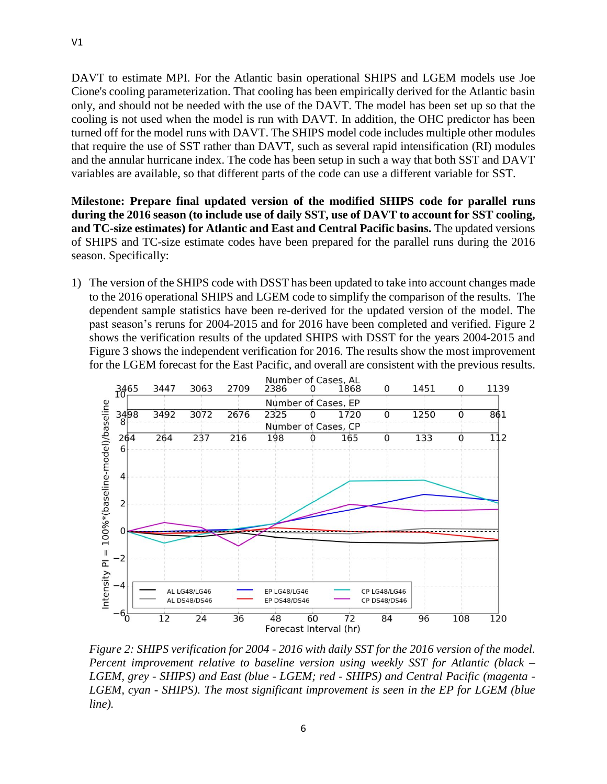DAVT to estimate MPI. For the Atlantic basin operational SHIPS and LGEM models use Joe Cione's cooling parameterization. That cooling has been empirically derived for the Atlantic basin only, and should not be needed with the use of the DAVT. The model has been set up so that the cooling is not used when the model is run with DAVT. In addition, the OHC predictor has been turned off for the model runs with DAVT. The SHIPS model code includes multiple other modules that require the use of SST rather than DAVT, such as several rapid intensification (RI) modules and the annular hurricane index. The code has been setup in such a way that both SST and DAVT variables are available, so that different parts of the code can use a different variable for SST.

**Milestone: Prepare final updated version of the modified SHIPS code for parallel runs during the 2016 season (to include use of daily SST, use of DAVT to account for SST cooling, and TC-size estimates) for Atlantic and East and Central Pacific basins.** The updated versions of SHIPS and TC-size estimate codes have been prepared for the parallel runs during the 2016 season. Specifically:

1) The version of the SHIPS code with DSST has been updated to take into account changes made to the 2016 operational SHIPS and LGEM code to simplify the comparison of the results. The dependent sample statistics have been re-derived for the updated version of the model. The past season's reruns for 2004-2015 and for 2016 have been completed and verified. Figure 2 shows the verification results of the updated SHIPS with DSST for the years 2004-2015 and Figure 3 shows the independent verification for 2016. The results show the most improvement for the LGEM forecast for the East Pacific, and overall are consistent with the previous results.



*Figure 2: SHIPS verification for 2004 - 2016 with daily SST for the 2016 version of the model. Percent improvement relative to baseline version using weekly SST for Atlantic (black – LGEM, grey - SHIPS) and East (blue - LGEM; red - SHIPS) and Central Pacific (magenta - LGEM, cyan - SHIPS). The most significant improvement is seen in the EP for LGEM (blue line).*

V1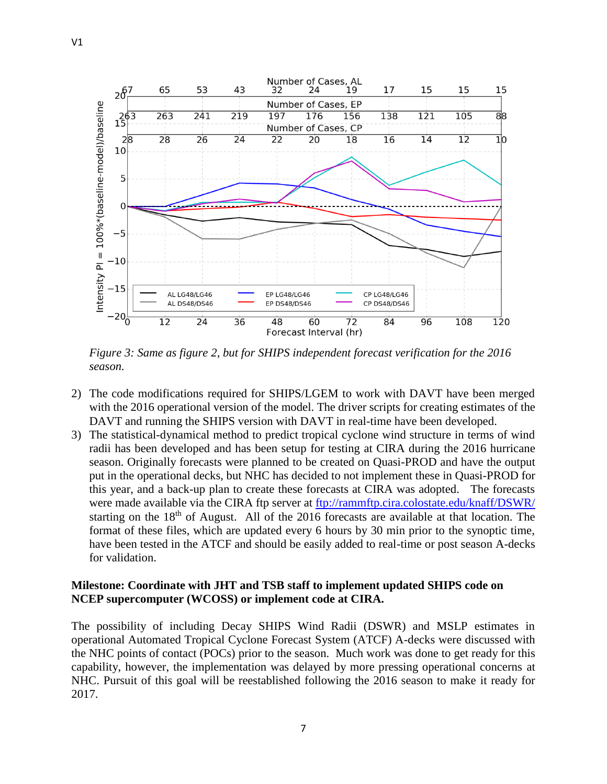

*Figure 3: Same as figure 2, but for SHIPS independent forecast verification for the 2016 season.*

- 2) The code modifications required for SHIPS/LGEM to work with DAVT have been merged with the 2016 operational version of the model. The driver scripts for creating estimates of the DAVT and running the SHIPS version with DAVT in real-time have been developed.
- 3) The statistical-dynamical method to predict tropical cyclone wind structure in terms of wind radii has been developed and has been setup for testing at CIRA during the 2016 hurricane season. Originally forecasts were planned to be created on Quasi-PROD and have the output put in the operational decks, but NHC has decided to not implement these in Quasi-PROD for this year, and a back-up plan to create these forecasts at CIRA was adopted. The forecasts were made available via the CIRA ftp server at<ftp://rammftp.cira.colostate.edu/knaff/DSWR/> starting on the  $18<sup>th</sup>$  of August. All of the 2016 forecasts are available at that location. The format of these files, which are updated every 6 hours by 30 min prior to the synoptic time, have been tested in the ATCF and should be easily added to real-time or post season A-decks for validation.

#### **Milestone: Coordinate with JHT and TSB staff to implement updated SHIPS code on NCEP supercomputer (WCOSS) or implement code at CIRA.**

The possibility of including Decay SHIPS Wind Radii (DSWR) and MSLP estimates in operational Automated Tropical Cyclone Forecast System (ATCF) A-decks were discussed with the NHC points of contact (POCs) prior to the season. Much work was done to get ready for this capability, however, the implementation was delayed by more pressing operational concerns at NHC. Pursuit of this goal will be reestablished following the 2016 season to make it ready for 2017.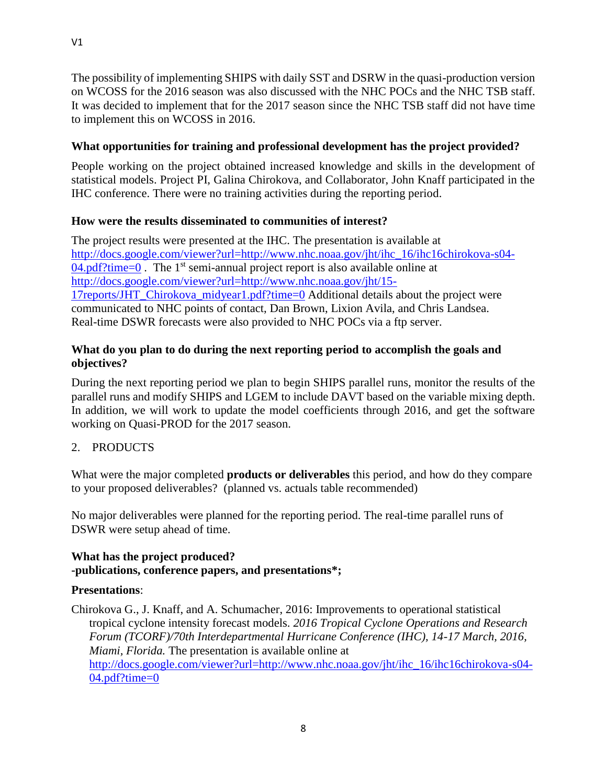The possibility of implementing SHIPS with daily SST and DSRW in the quasi-production version on WCOSS for the 2016 season was also discussed with the NHC POCs and the NHC TSB staff. It was decided to implement that for the 2017 season since the NHC TSB staff did not have time to implement this on WCOSS in 2016.

# **What opportunities for training and professional development has the project provided?**

People working on the project obtained increased knowledge and skills in the development of statistical models. Project PI, Galina Chirokova, and Collaborator, John Knaff participated in the IHC conference. There were no training activities during the reporting period.

# **How were the results disseminated to communities of interest?**

The project results were presented at the IHC. The presentation is available at [http://docs.google.com/viewer?url=http://www.nhc.noaa.gov/jht/ihc\\_16/ihc16chirokova-s04-](http://docs.google.com/viewer?url=http://www.nhc.noaa.gov/jht/ihc_16/ihc16chirokova-s04-04.pdf?time=0)  $04.$ pdf?time=0. The 1<sup>st</sup> semi-annual project report is also available online at [http://docs.google.com/viewer?url=http://www.nhc.noaa.gov/jht/15-](http://docs.google.com/viewer?url=http://www.nhc.noaa.gov/jht/15-17reports/JHT_Chirokova_midyear1.pdf?time=0) [17reports/JHT\\_Chirokova\\_midyear1.pdf?time=0](http://docs.google.com/viewer?url=http://www.nhc.noaa.gov/jht/15-17reports/JHT_Chirokova_midyear1.pdf?time=0) Additional details about the project were communicated to NHC points of contact, Dan Brown, Lixion Avila, and Chris Landsea. Real-time DSWR forecasts were also provided to NHC POCs via a ftp server.

# **What do you plan to do during the next reporting period to accomplish the goals and objectives?**

During the next reporting period we plan to begin SHIPS parallel runs, monitor the results of the parallel runs and modify SHIPS and LGEM to include DAVT based on the variable mixing depth. In addition, we will work to update the model coefficients through 2016, and get the software working on Quasi-PROD for the 2017 season.

# 2. PRODUCTS

What were the major completed **products or deliverables** this period, and how do they compare to your proposed deliverables? (planned vs. actuals table recommended)

No major deliverables were planned for the reporting period. The real-time parallel runs of DSWR were setup ahead of time.

# **What has the project produced? -publications, conference papers, and presentations\*;**

# **Presentations**:

Chirokova G., J. Knaff, and A. Schumacher, 2016: Improvements to operational statistical tropical cyclone intensity forecast models. *2016 Tropical Cyclone Operations and Research Forum (TCORF)/70th Interdepartmental Hurricane Conference (IHC), 14-17 March, 2016, Miami, Florida.* The presentation is available online at [http://docs.google.com/viewer?url=http://www.nhc.noaa.gov/jht/ihc\\_16/ihc16chirokova-s04-](http://docs.google.com/viewer?url=http://www.nhc.noaa.gov/jht/ihc_16/ihc16chirokova-s04-04.pdf?time=0) [04.pdf?time=0](http://docs.google.com/viewer?url=http://www.nhc.noaa.gov/jht/ihc_16/ihc16chirokova-s04-04.pdf?time=0)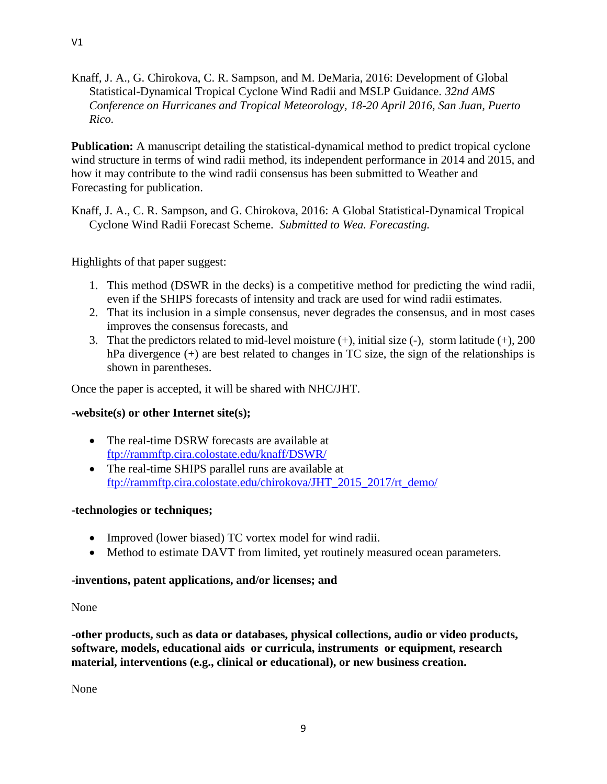Knaff, J. A., G. Chirokova, C. R. Sampson, and M. DeMaria, 2016: Development of Global Statistical-Dynamical Tropical Cyclone Wind Radii and MSLP Guidance. *32nd AMS Conference on Hurricanes and Tropical Meteorology, 18-20 April 2016, San Juan, Puerto Rico.*

**Publication:** A manuscript detailing the statistical-dynamical method to predict tropical cyclone wind structure in terms of wind radii method, its independent performance in 2014 and 2015, and how it may contribute to the wind radii consensus has been submitted to Weather and Forecasting for publication.

Knaff, J. A., C. R. Sampson, and G. Chirokova, 2016: A Global Statistical-Dynamical Tropical Cyclone Wind Radii Forecast Scheme. *Submitted to Wea. Forecasting.* 

Highlights of that paper suggest:

- 1. This method (DSWR in the decks) is a competitive method for predicting the wind radii, even if the SHIPS forecasts of intensity and track are used for wind radii estimates.
- 2. That its inclusion in a simple consensus, never degrades the consensus, and in most cases improves the consensus forecasts, and
- 3. That the predictors related to mid-level moisture  $(+)$ , initial size  $(-)$ , storm latitude  $(+)$ , 200 hPa divergence (+) are best related to changes in TC size, the sign of the relationships is shown in parentheses.

Once the paper is accepted, it will be shared with NHC/JHT.

# **-website(s) or other Internet site(s);**

- The real-time DSRW forecasts are available at <ftp://rammftp.cira.colostate.edu/knaff/DSWR/>
- The real-time SHIPS parallel runs are available at [ftp://rammftp.cira.colostate.edu/chirokova/JHT\\_2015\\_2017/rt\\_demo/](ftp://rammftp.cira.colostate.edu/chirokova/JHT_2015_2017/rt_demo/)

#### **-technologies or techniques;**

- Improved (lower biased) TC vortex model for wind radii.
- Method to estimate DAVT from limited, yet routinely measured ocean parameters.

# **-inventions, patent applications, and/or licenses; and**

#### None

**-other products, such as data or databases, physical collections, audio or video products, software, models, educational aids or curricula, instruments or equipment, research material, interventions (e.g., clinical or educational), or new business creation.**

None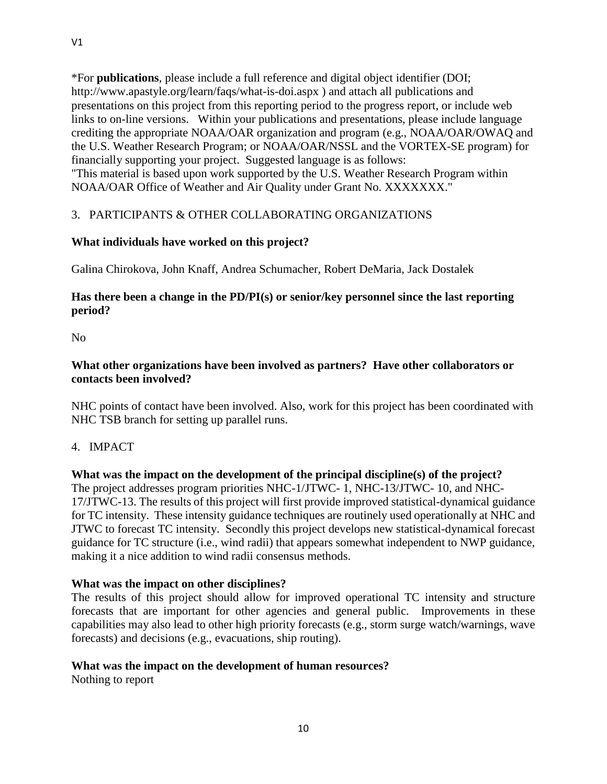\*For **publications**, please include a full reference and digital object identifier (DOI; http://www.apastyle.org/learn/faqs/what-is-doi.aspx ) and attach all publications and presentations on this project from this reporting period to the progress report, or include web links to on-line versions. Within your publications and presentations, please include language crediting the appropriate NOAA/OAR organization and program (e.g., NOAA/OAR/OWAQ and the U.S. Weather Research Program; or NOAA/OAR/NSSL and the VORTEX-SE program) for financially supporting your project. Suggested language is as follows: "This material is based upon work supported by the U.S. Weather Research Program within NOAA/OAR Office of Weather and Air Quality under Grant No. XXXXXXX."

# 3. PARTICIPANTS & OTHER COLLABORATING ORGANIZATIONS

# **What individuals have worked on this project?**

Galina Chirokova, John Knaff, Andrea Schumacher, Robert DeMaria, Jack Dostalek

# **Has there been a change in the PD/PI(s) or senior/key personnel since the last reporting period?**

No

# **What other organizations have been involved as partners? Have other collaborators or contacts been involved?**

NHC points of contact have been involved. Also, work for this project has been coordinated with NHC TSB branch for setting up parallel runs.

4. IMPACT

# **What was the impact on the development of the principal discipline(s) of the project?**

The project addresses program priorities NHC-1/JTWC- 1, NHC-13/JTWC- 10, and NHC-17/JTWC-13. The results of this project will first provide improved statistical-dynamical guidance for TC intensity. These intensity guidance techniques are routinely used operationally at NHC and JTWC to forecast TC intensity. Secondly this project develops new statistical-dynamical forecast guidance for TC structure (i.e., wind radii) that appears somewhat independent to NWP guidance, making it a nice addition to wind radii consensus methods.

# **What was the impact on other disciplines?**

The results of this project should allow for improved operational TC intensity and structure forecasts that are important for other agencies and general public. Improvements in these capabilities may also lead to other high priority forecasts (e.g., storm surge watch/warnings, wave forecasts) and decisions (e.g., evacuations, ship routing).

#### **What was the impact on the development of human resources?**

Nothing to report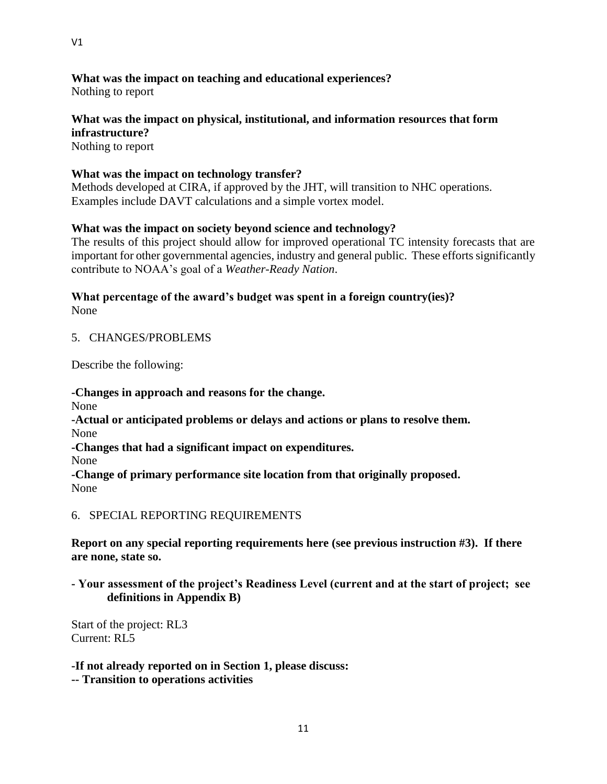**What was the impact on teaching and educational experiences?**

Nothing to report

# **What was the impact on physical, institutional, and information resources that form infrastructure?**

Nothing to report

# **What was the impact on technology transfer?**

Methods developed at CIRA, if approved by the JHT, will transition to NHC operations. Examples include DAVT calculations and a simple vortex model.

# **What was the impact on society beyond science and technology?**

The results of this project should allow for improved operational TC intensity forecasts that are important for other governmental agencies, industry and general public. These efforts significantly contribute to NOAA's goal of a *Weather-Ready Nation*.

#### **What percentage of the award's budget was spent in a foreign country(ies)?** None

# 5. CHANGES/PROBLEMS

Describe the following:

**-Changes in approach and reasons for the change.** None **-Actual or anticipated problems or delays and actions or plans to resolve them.** None **-Changes that had a significant impact on expenditures.** None **-Change of primary performance site location from that originally proposed.** None

6. SPECIAL REPORTING REQUIREMENTS

**Report on any special reporting requirements here (see previous instruction #3). If there are none, state so.**

# **- Your assessment of the project's Readiness Level (current and at the start of project; see definitions in Appendix B)**

Start of the project: RL3 Current: RL5

**-If not already reported on in Section 1, please discuss:**

**-- Transition to operations activities**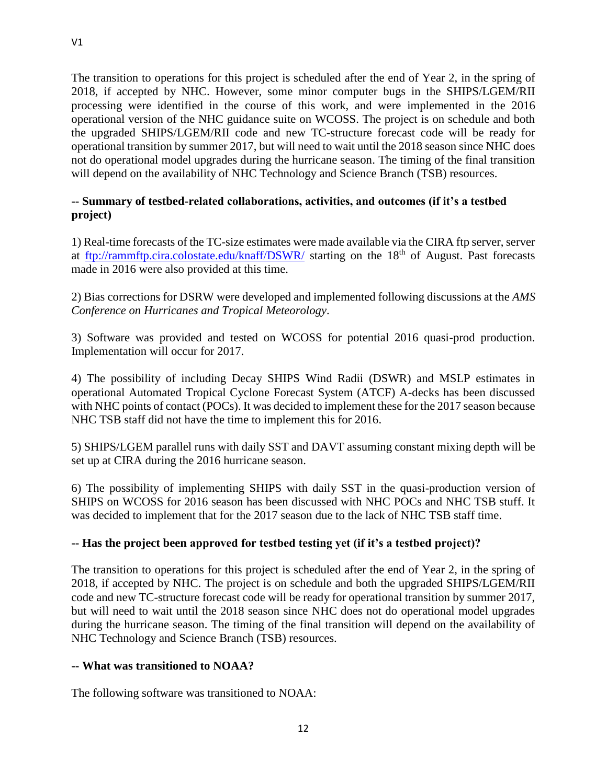The transition to operations for this project is scheduled after the end of Year 2, in the spring of 2018, if accepted by NHC. However, some minor computer bugs in the SHIPS/LGEM/RII processing were identified in the course of this work, and were implemented in the 2016 operational version of the NHC guidance suite on WCOSS. The project is on schedule and both the upgraded SHIPS/LGEM/RII code and new TC-structure forecast code will be ready for operational transition by summer 2017, but will need to wait until the 2018 season since NHC does not do operational model upgrades during the hurricane season. The timing of the final transition will depend on the availability of NHC Technology and Science Branch (TSB) resources.

# **-- Summary of testbed-related collaborations, activities, and outcomes (if it's a testbed project)**

1) Real-time forecasts of the TC-size estimates were made available via the CIRA ftp server, server at <ftp://rammftp.cira.colostate.edu/knaff/DSWR/> starting on the 18<sup>th</sup> of August. Past forecasts made in 2016 were also provided at this time.

2) Bias corrections for DSRW were developed and implemented following discussions at the *AMS Conference on Hurricanes and Tropical Meteorology*.

3) Software was provided and tested on WCOSS for potential 2016 quasi-prod production. Implementation will occur for 2017.

4) The possibility of including Decay SHIPS Wind Radii (DSWR) and MSLP estimates in operational Automated Tropical Cyclone Forecast System (ATCF) A-decks has been discussed with NHC points of contact (POCs). It was decided to implement these for the 2017 season because NHC TSB staff did not have the time to implement this for 2016.

5) SHIPS/LGEM parallel runs with daily SST and DAVT assuming constant mixing depth will be set up at CIRA during the 2016 hurricane season.

6) The possibility of implementing SHIPS with daily SST in the quasi-production version of SHIPS on WCOSS for 2016 season has been discussed with NHC POCs and NHC TSB stuff. It was decided to implement that for the 2017 season due to the lack of NHC TSB staff time.

# **-- Has the project been approved for testbed testing yet (if it's a testbed project)?**

The transition to operations for this project is scheduled after the end of Year 2, in the spring of 2018, if accepted by NHC. The project is on schedule and both the upgraded SHIPS/LGEM/RII code and new TC-structure forecast code will be ready for operational transition by summer 2017, but will need to wait until the 2018 season since NHC does not do operational model upgrades during the hurricane season. The timing of the final transition will depend on the availability of NHC Technology and Science Branch (TSB) resources.

# **-- What was transitioned to NOAA?**

The following software was transitioned to NOAA: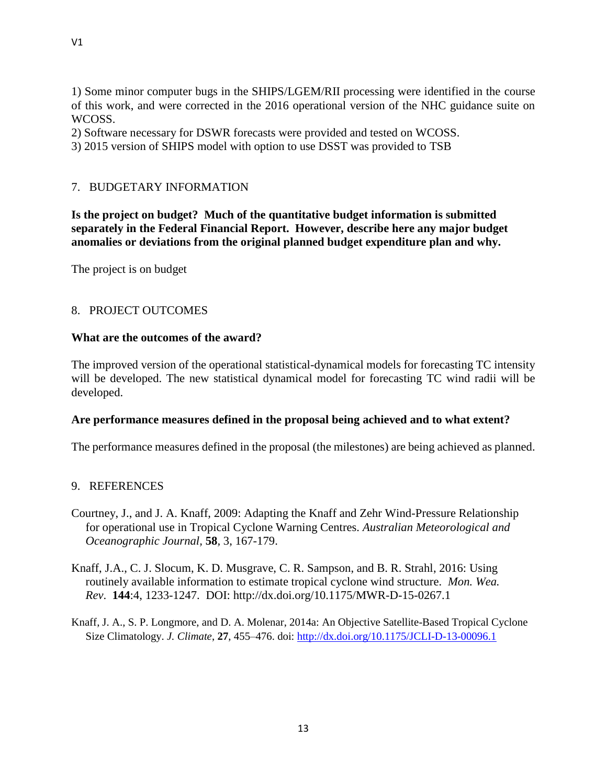1) Some minor computer bugs in the SHIPS/LGEM/RII processing were identified in the course of this work, and were corrected in the 2016 operational version of the NHC guidance suite on WCOSS.

2) Software necessary for DSWR forecasts were provided and tested on WCOSS.

3) 2015 version of SHIPS model with option to use DSST was provided to TSB

### 7. BUDGETARY INFORMATION

**Is the project on budget? Much of the quantitative budget information is submitted separately in the Federal Financial Report. However, describe here any major budget anomalies or deviations from the original planned budget expenditure plan and why.**

The project is on budget

#### 8. PROJECT OUTCOMES

#### **What are the outcomes of the award?**

The improved version of the operational statistical-dynamical models for forecasting TC intensity will be developed. The new statistical dynamical model for forecasting TC wind radii will be developed.

#### **Are performance measures defined in the proposal being achieved and to what extent?**

The performance measures defined in the proposal (the milestones) are being achieved as planned.

#### 9. REFERENCES

- Courtney, J., and J. A. Knaff, 2009: Adapting the Knaff and Zehr Wind-Pressure Relationship for operational use in Tropical Cyclone Warning Centres. *Australian Meteorological and Oceanographic Journal,* **58***,* 3, 167-179.
- Knaff, J.A., C. J. Slocum, K. D. Musgrave, C. R. Sampson, and B. R. Strahl, 2016: Using routinely available information to estimate tropical cyclone wind structure. *Mon. Wea. Rev*. **144**:4, 1233-1247. DOI: http://dx.doi.org/10.1175/MWR-D-15-0267.1
- Knaff, J. A., S. P. Longmore, and D. A. Molenar, 2014a: An Objective Satellite-Based Tropical Cyclone Size Climatology. *J. Climate*, **27**, 455–476. doi[: http://dx.doi.org/10.1175/JCLI-D-13-00096.1](http://dx.doi.org/10.1175/JCLI-D-13-00096.1)